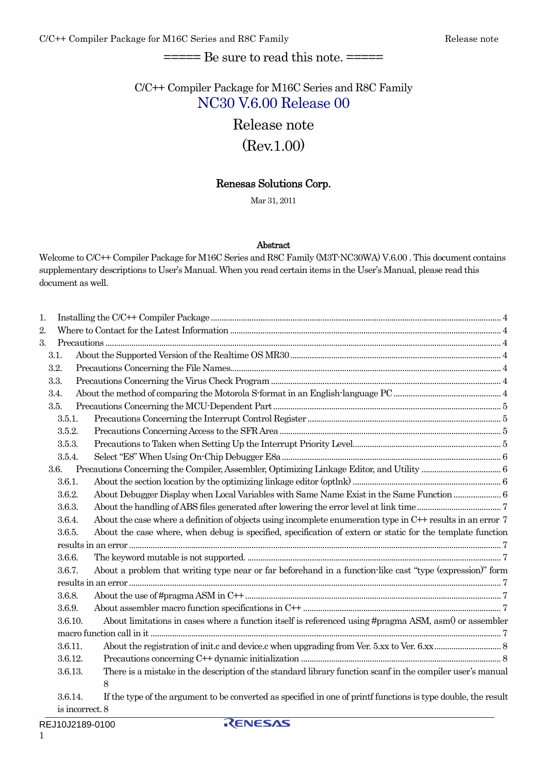# $=$  = $=$  $=$  $Be$  sure to read this note.  $=$  $=$  $=$  $=$  $=$

# C/C++ Compiler Package for M16C Series and R8C Family NC30 V.6.00 Release 00

# Release note (Rev.1.00)

### Renesas Solutions Corp.

Mar 31, 2011

#### Abstract

Welcome to C/C++ Compiler Package for M16C Series and R8C Family (M3T-NC30WA) V.6.00. This document contains supplementary descriptions to User's Manual. When you read certain items in the User's Manual, please read this document as well.

| 1. |         |                                                                                                                |  |
|----|---------|----------------------------------------------------------------------------------------------------------------|--|
| 2. |         |                                                                                                                |  |
| 3. |         |                                                                                                                |  |
|    | 3.1.    |                                                                                                                |  |
|    | 3.2.    |                                                                                                                |  |
|    | 3.3.    |                                                                                                                |  |
|    | 3.4.    |                                                                                                                |  |
|    | 3.5.    |                                                                                                                |  |
|    | 3.5.1.  |                                                                                                                |  |
|    | 3.5.2.  |                                                                                                                |  |
|    | 3.5.3.  |                                                                                                                |  |
|    | 3.5.4.  |                                                                                                                |  |
|    | 3.6.    |                                                                                                                |  |
|    | 3.6.1.  |                                                                                                                |  |
|    | 3.6.2.  | About Debugger Display when Local Variables with Same Name Exist in the Same Function  6                       |  |
|    | 3.6.3.  |                                                                                                                |  |
|    | 3.6.4.  | About the case where a definition of objects using incomplete enumeration type in C++ results in an error 7    |  |
|    | 3.6.5.  | About the case where, when debug is specified, specification of extern or static for the template function     |  |
|    |         |                                                                                                                |  |
|    | 3.6.6.  |                                                                                                                |  |
|    | 3.6.7.  | About a problem that writing type near or far beforehand in a function-like cast "type (expression)" form      |  |
|    |         |                                                                                                                |  |
|    | 3.6.8.  |                                                                                                                |  |
|    | 3.6.9.  |                                                                                                                |  |
|    | 3.6.10. | About limitations in cases where a function itself is referenced using #pragma ASM, asm() or assembler         |  |
|    |         |                                                                                                                |  |
|    | 3.6.11. |                                                                                                                |  |
|    | 3.6.12. |                                                                                                                |  |
|    | 3.6.13. | There is a mistake in the description of the standard library function scanf in the compiler user's manual     |  |
|    |         | 8                                                                                                              |  |
|    | 3.6.14. | If the type of the argument to be converted as specified in one of printf functions is type double, the result |  |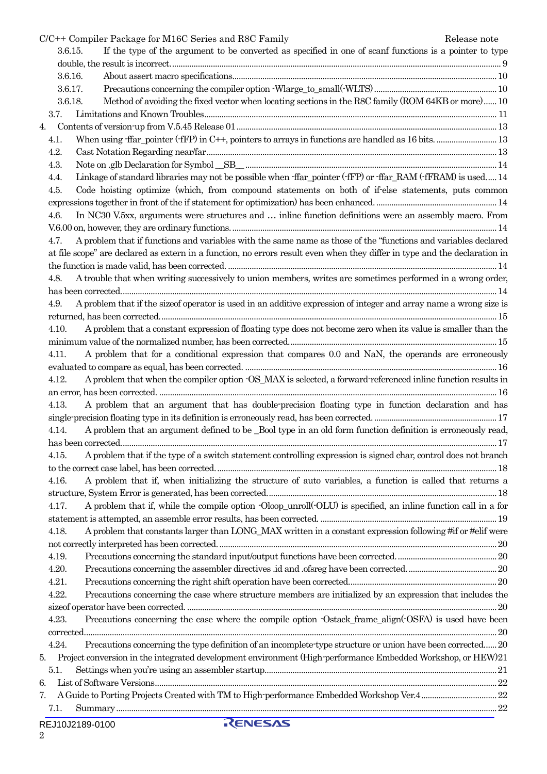|         | C/C++ Compiler Package for M16C Series and R8C Family                                                                      | Release note |
|---------|----------------------------------------------------------------------------------------------------------------------------|--------------|
| 3.6.15. | If the type of the argument to be converted as specified in one of scanf functions is a pointer to type                    |              |
|         |                                                                                                                            |              |
| 3.6.16. |                                                                                                                            |              |
| 3.6.17. |                                                                                                                            |              |
| 3.6.18. | Method of avoiding the fixed vector when locating sections in the R8C family (ROM 64KB or more) 10                         |              |
| 3.7.    |                                                                                                                            |              |
| 4.      |                                                                                                                            |              |
| 4.1.    |                                                                                                                            |              |
| 4.2.    |                                                                                                                            |              |
| 4.3.    |                                                                                                                            |              |
| 4.4.    | Linkage of standard libraries may not be possible when ffar pointer (fFP) or ffar RAM (fFRAM) is used 14                   |              |
| 4.5.    | Code hoisting optimize (which, from compound statements on both of if-else statements, puts common                         |              |
|         |                                                                                                                            |              |
| 4.6.    | In NC30 V.5xx, arguments were structures and  inline function definitions were an assembly macro. From                     |              |
|         |                                                                                                                            |              |
| 4.7.    | A problem that if functions and variables with the same name as those of the "functions and variables declared             |              |
|         | at file scope" are declared as extern in a function, no errors result even when they differ in type and the declaration in |              |
|         |                                                                                                                            |              |
| 4.8.    | A trouble that when writing successively to union members, writes are sometimes performed in a wrong order,                |              |
|         |                                                                                                                            |              |
| 4.9.    | A problem that if the size of operator is used in an additive expression of integer and array name a wrong size is         |              |
|         |                                                                                                                            |              |
| 4.10.   | A problem that a constant expression of floating type does not become zero when its value is smaller than the              |              |
|         |                                                                                                                            |              |
| 4.11.   | A problem that for a conditional expression that compares 0.0 and NaN, the operands are erroneously                        |              |
|         |                                                                                                                            |              |
| 4.12.   | A problem that when the compiler option $\cdot$ OS_MAX is selected, a forward referenced inline function results in        |              |
|         |                                                                                                                            |              |
| 4.13.   | A problem that an argument that has double-precision floating type in function declaration and has                         |              |
|         |                                                                                                                            |              |
| 4.14.   | A problem that an argument defined to be _Bool type in an old form function definition is erroneously read,                |              |
|         |                                                                                                                            |              |
| 4.15.   | A problem that if the type of a switch statement controlling expression is signed char, control does not branch            |              |
|         |                                                                                                                            |              |
| 4.16.   | A problem that if, when initializing the structure of auto variables, a function is called that returns a                  |              |
|         |                                                                                                                            |              |
| 4.17.   | A problem that if, while the compile option Oloop_unroll(OLU) is specified, an inline function call in a for               |              |
|         |                                                                                                                            |              |
| 4.18.   | A problem that constants larger than LONG_MAX written in a constant expression following #if or #elif were                 |              |
|         |                                                                                                                            |              |
| 4.19.   |                                                                                                                            |              |
| 4.20.   |                                                                                                                            |              |
| 4.21.   |                                                                                                                            |              |
| 4.22.   | Precautions concerning the case where structure members are initialized by an expression that includes the                 |              |
|         |                                                                                                                            |              |
| 4.23.   | Precautions concerning the case where the compile option -Ostack frame align (-OSFA) is used have been                     |              |
|         |                                                                                                                            |              |
| 4.24.   | Precautions concerning the type definition of an incomplete type structure or union have been corrected20                  |              |
| 5.      | Project conversion in the integrated development environment (High-performance Embedded Workshop, or HEW)21                |              |
| 5.1.    |                                                                                                                            |              |
| 6.      |                                                                                                                            |              |
| 7.      |                                                                                                                            |              |
| 7.1.    |                                                                                                                            |              |
|         |                                                                                                                            |              |

RENESAS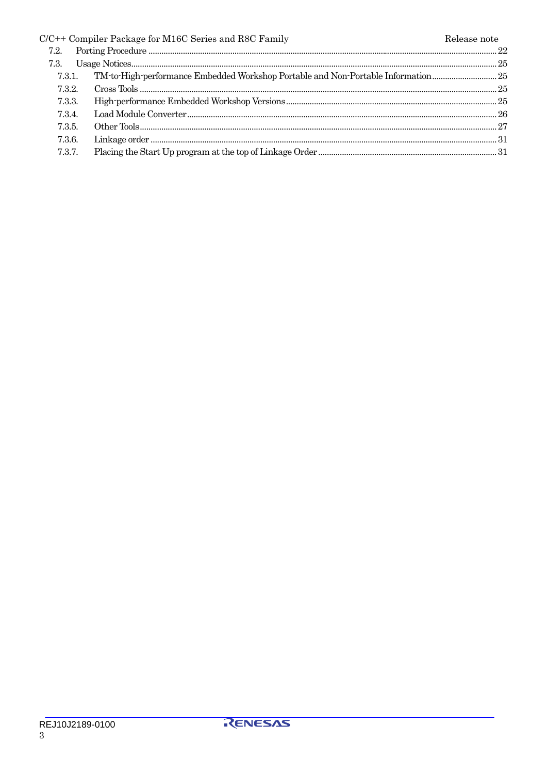|        | $C/C++$ Compiler Package for M16C Series and R8C Family                        | Release note |
|--------|--------------------------------------------------------------------------------|--------------|
| 7.2.   |                                                                                |              |
|        |                                                                                |              |
| 7.3.1. | TM-to-High-performance Embedded Workshop Portable and Non-Portable Information |              |
| 7.3.2  |                                                                                |              |
| 7.3.3. |                                                                                |              |
| 7.3.4. |                                                                                |              |
| 7.3.5. |                                                                                |              |
| 7.3.6. |                                                                                |              |
| 7.3.7. |                                                                                |              |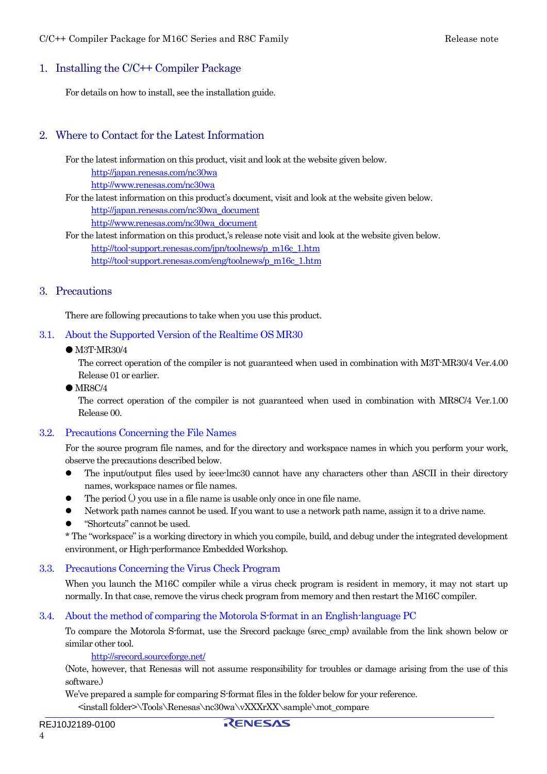### <span id="page-3-0"></span>1. Installing the C/C++ Compiler Package

For details on how to install, see the installation guide.

### 2. Where to Contact for the Latest Information

For the latest information on this product, visit and look at the website given below.

<http://japan.renesas.com/nc30wa>

<http://www.renesas.com/nc30wa>

For the latest information on this product's document, visit and look at the website given below. [http://japan.renesas.com/nc30wa\\_document](http://japan.renesas.com/nc30wa_document) [http://www.renesas.com/nc30wa\\_document](http://www.renesas.com/nc30wa_document)

For the latest information on this product,'s release note visit and look at the website given below. [http://tool-support.renesas.com/jpn/toolnews/p\\_m16c\\_1.htm](http://tool-support.renesas.com/jpn/toolnews/p_m16c_1.htm) [http://tool-support.renesas.com/eng/toolnews/p\\_m16c\\_1.htm](http://tool-support.renesas.com/eng/toolnews/p_m16c_1.htm)

### 3. Precautions

There are following precautions to take when you use this product.

### 3.1. About the Supported Version of the Realtime OS MR30

 $\bullet$  M3T-MR30/4

The correct operation of the compiler is not guaranteed when used in combination with M3T-MR30/4 Ver.4.00 Release 01 or earlier.

 $\bullet$  MR8C/4

The correct operation of the compiler is not guaranteed when used in combination with MR8C/4 Ver.1.00 Release 00.

### 3.2. Precautions Concerning the File Names

For the source program file names, and for the directory and workspace names in which you perform your work, observe the precautions described below.

- The input/output files used by ieee-lmc30 cannot have any characters other than ASCII in their directory names, workspace names or file names.
- The period (.) you use in a file name is usable only once in one file name.
- Network path names cannot be used. If you want to use a network path name, assign it to a drive name.
- "Shortcuts" cannot be used.

\* The "workspace" is a working directory in which you compile, build, and debug under the integrated development environment, or High-performance Embedded Workshop.

### 3.3. Precautions Concerning the Virus Check Program

When you launch the M16C compiler while a virus check program is resident in memory, it may not start up normally. In that case, remove the virus check program from memory and then restart the M16C compiler.

### 3.4. About the method of comparing the Motorola S-format in an English-language PC

To compare the Motorola S-format, use the Srecord package (srec\_cmp) available from the link shown below or similar other tool.

#### <http://srecord.sourceforge.net/>

(Note, however, that Renesas will not assume responsibility for troubles or damage arising from the use of this software.)

We've prepared a sample for comparing S-format files in the folder below for your reference.

<install folder>\Tools\Renesas\nc30wa\vXXXrXX\sample\mot\_compare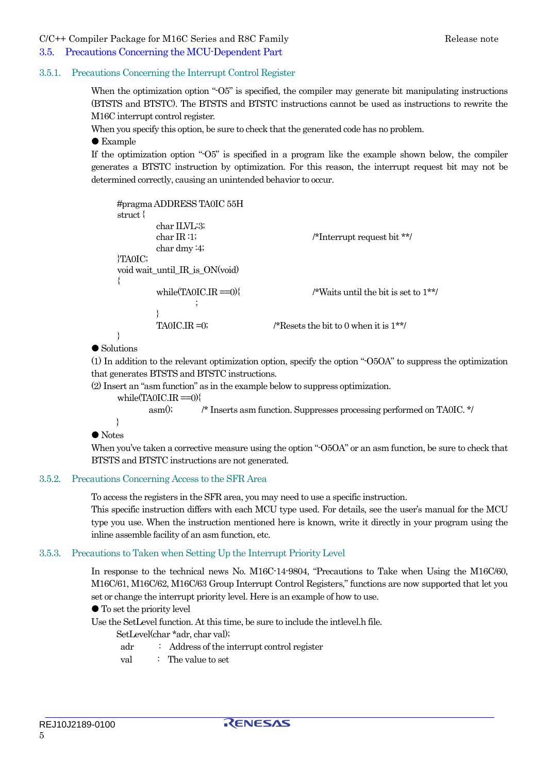#### <span id="page-4-0"></span>C/C++ Compiler Package for M16C Series and R8C Family The Company Release note

# 3.5. Precautions Concerning the MCU-Dependent Part

#### 3.5.1. Precautions Concerning the Interrupt Control Register

When the optimization option "-O5" is specified, the compiler may generate bit manipulating instructions (BTSTS and BTSTC). The BTSTS and BTSTC instructions cannot be used as instructions to rewrite the M16C interrupt control register.

When you specify this option, be sure to check that the generated code has no problem.

#### $\bullet$  Example

If the optimization option "-O5" is specified in a program like the example shown below, the compiler generates a BTSTC instruction by optimization. For this reason, the interrupt request bit may not be determined correctly, causing an unintended behavior to occur.

```
#pragma ADDRESS TA0IC 55H 
struct { 
         char ILVL:3; 
        char IR :1; \sqrt{\frac{m}{m}} /*Interrupt request bit **/
         char dmy :4; 
}TA0IC; 
void wait_until_IR_is_ON(void) 
{ 
        while(TA0IC.IR =0){ /*Waits until the bit is set to 1**/
 ; 
 } 
        TAOIC.IR =0; \angle /*Resets the bit to 0 when it is 1**/
}
```
### $\bullet$  Solutions

(1) In addition to the relevant optimization option, specify the option "-O5OA" to suppress the optimization that generates BTSTS and BTSTC instructions.

(2) Insert an "asm function" as in the example below to suppress optimization.

while $(TA0IC \cdot IR = 0)$ 

asm(); /\* Inserts asm function. Suppresses processing performed on TA0IC. \*/

 }  $\bullet$  Notes

When you've taken a corrective measure using the option "-O5OA" or an asm function, be sure to check that BTSTS and BTSTC instructions are not generated.

#### 3.5.2. Precautions Concerning Access to the SFR Area

To access the registers in the SFR area, you may need to use a specific instruction.

This specific instruction differs with each MCU type used. For details, see the user's manual for the MCU type you use. When the instruction mentioned here is known, write it directly in your program using the inline assemble facility of an asm function, etc.

### 3.5.3. Precautions to Taken when Setting Up the Interrupt Priority Level

In response to the technical news No. M16C-14-9804, "Precautions to Take when Using the M16C/60, M16C/61, M16C/62, M16C/63 Group Interrupt Control Registers," functions are now supported that let you set or change the interrupt priority level. Here is an example of how to use.

 $\bullet$  To set the priority level

Use the SetLevel function. At this time, be sure to include the intlevel.h file.

SetLevel(char \*adr, char val);

- adr : Address of the interrupt control register
- val : The value to set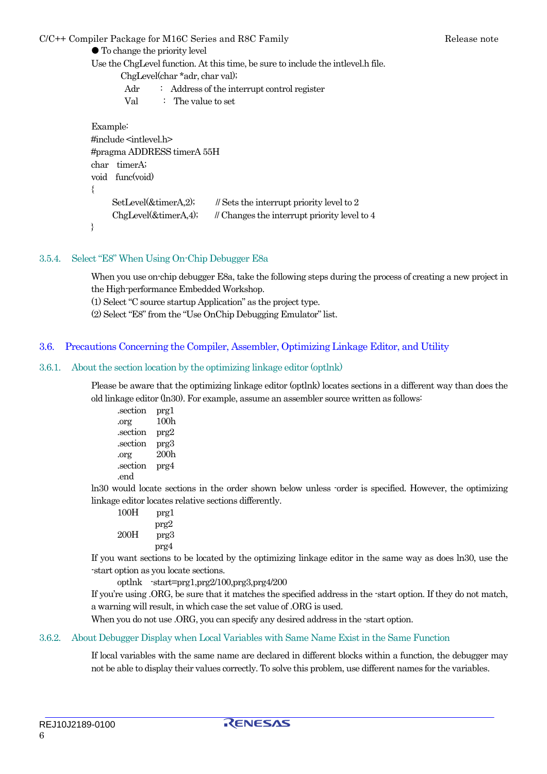<span id="page-5-0"></span>C/C++ Compiler Package for M16C Series and R8C Family The Company Release note

 $\bullet$  To change the priority level

Use the ChgLevel function. At this time, be sure to include the intlevel.h file. ChgLevel(char \*adr, char val); Adr : Address of the interrupt control register Val : The value to set Example: #include <intlevel.h> #pragma ADDRESS timerA 55H char timerA; void func(void) { SetLevel $(\&$ timerA,2); // Sets the interrupt priority level to 2  $ChgLevel(\& timerA,4);$  // Changes the interrupt priority level to 4 }

### 3.5.4. Select "E8" When Using On-Chip Debugger E8a

When you use on-chip debugger E8a, take the following steps during the process of creating a new project in the High-performance Embedded Workshop.

- (1) Select "C source startup Application" as the project type.
- (2) Select "E8" from the "Use OnChip Debugging Emulator" list.

### 3.6. Precautions Concerning the Compiler, Assembler, Optimizing Linkage Editor, and Utility

#### 3.6.1. About the section location by the optimizing linkage editor (optlnk)

Please be aware that the optimizing linkage editor (optlnk) locates sections in a different way than does the old linkage editor (ln30). For example, assume an assembler source written as follows:

| .section | prgl             |
|----------|------------------|
| .org     | 100h             |
| .section | prg2             |
| .section | prg3             |
| .org     | 200 <sub>h</sub> |
| .section | prg4             |
| .end     |                  |

ln30 would locate sections in the order shown below unless -order is specified. However, the optimizing linkage editor locates relative sections differently.

100H prg1 prg2 200H prg3 prg4

If you want sections to be located by the optimizing linkage editor in the same way as does ln30, use the -start option as you locate sections.

optlnk -start=prg1,prg2/100,prg3,prg4/200

If you're using .ORG, be sure that it matches the specified address in the -start option. If they do not match, a warning will result, in which case the set value of .ORG is used.

When you do not use .ORG, you can specify any desired address in the -start option.

#### 3.6.2. About Debugger Display when Local Variables with Same Name Exist in the Same Function

If local variables with the same name are declared in different blocks within a function, the debugger may not be able to display their values correctly. To solve this problem, use different names for the variables.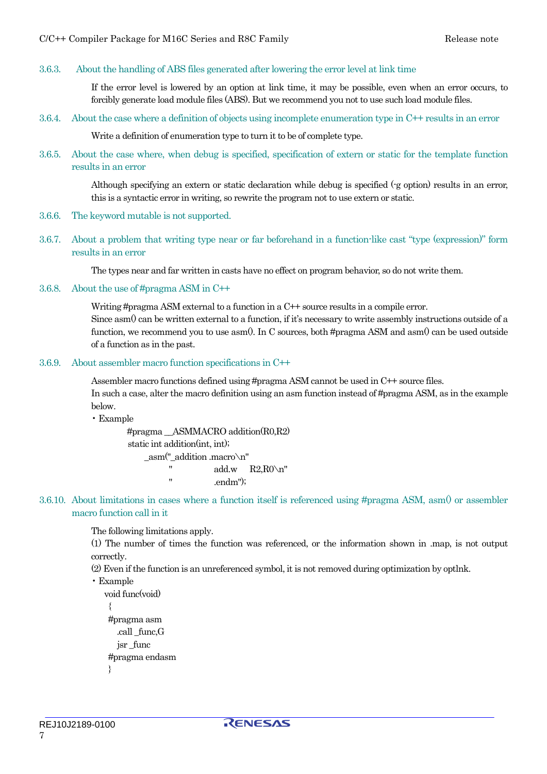#### <span id="page-6-0"></span>3.6.3. About the handling of ABS files generated after lowering the error level at link time

If the error level is lowered by an option at link time, it may be possible, even when an error occurs, to forcibly generate load module files (ABS). But we recommend you not to use such load module files.

3.6.4. About the case where a definition of objects using incomplete enumeration type in C++ results in an error

Write a definition of enumeration type to turn it to be of complete type.

3.6.5. About the case where, when debug is specified, specification of extern or static for the template function results in an error

> Although specifying an extern or static declaration while debug is specified (-g option) results in an error, this is a syntactic error in writing, so rewrite the program not to use extern or static.

- 3.6.6. The keyword mutable is not supported.
- 3.6.7. About a problem that writing type near or far beforehand in a function-like cast "type (expression)" form results in an error

The types near and far written in casts have no effect on program behavior, so do not write them.

3.6.8. About the use of #pragma ASM in C++

Writing #pragma ASM external to a function in a C++ source results in a compile error. Since asm $\theta$  can be written external to a function, if it's necessary to write assembly instructions outside of a function, we recommend you to use asm $0$ . In C sources, both #pragma ASM and asm $0$  can be used outside of a function as in the past.

#### 3.6.9. About assembler macro function specifications in C++

Assembler macro functions defined using #pragma ASM cannot be used in C++ source files. In such a case, alter the macro definition using an asm function instead of #pragma ASM, as in the example below.

• Example

#pragma \_\_ASMMACRO addition(R0,R2) static int addition(int, int);  $\text{asm}("addition.macro\n\cdot n"$  " add.w R2,R0\n" " .endm");

3.6.10. About limitations in cases where a function itself is referenced using #pragma ASM, asm() or assembler macro function call in it

The following limitations apply.

(1) The number of times the function was referenced, or the information shown in .map, is not output correctly.

(2) Even if the function is an unreferenced symbol, it is not removed during optimization by optlnk.

```
• Example
```

```
void func(void) 
  { 
 #pragma asm 
    .call _func,G 
   jsr func
 #pragma endasm 
 }
```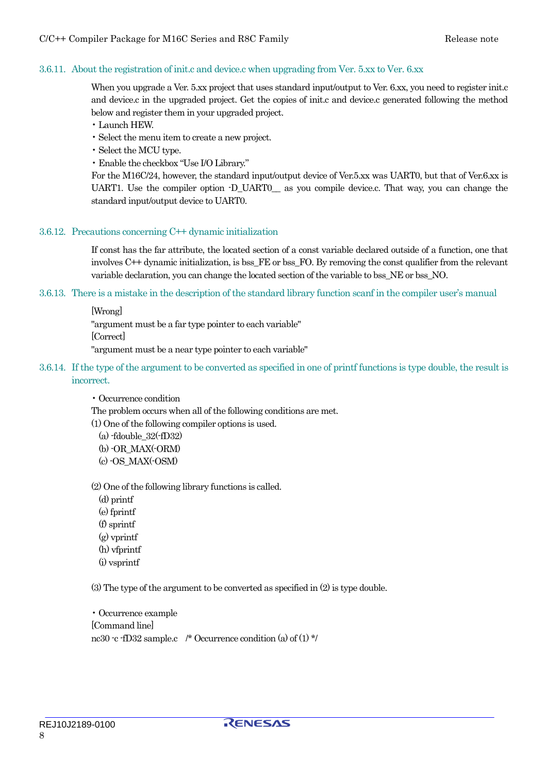### <span id="page-7-0"></span>3.6.11. About the registration of init.c and device.c when upgrading from Ver. 5.xx to Ver. 6.xx

When you upgrade a Ver. 5.xx project that uses standard input/output to Ver. 6.xx, you need to register init.c and device.c in the upgraded project. Get the copies of init.c and device.c generated following the method below and register them in your upgraded project.

• Launch HEW.

- Select the menu item to create a new project.
- Select the MCU type.

• Enable the checkbox "Use I/O Library."

For the M16C/24, however, the standard input/output device of Ver.5.xx was UART0, but that of Ver.6.xx is UART1. Use the compiler option -D\_UART0 — as you compile device.c. That way, you can change the standard input/output device to UART0.

#### 3.6.12. Precautions concerning C++ dynamic initialization

If const has the far attribute, the located section of a const variable declared outside of a function, one that involves C++ dynamic initialization, is bss\_FE or bss\_FO. By removing the const qualifier from the relevant variable declaration, you can change the located section of the variable to bss\_NE or bss\_NO.

#### 3.6.13. There is a mistake in the description of the standard library function scanf in the compiler user's manual

[Wrong]

"argument must be a far type pointer to each variable" [Correct]

"argument must be a near type pointer to each variable"

3.6.14. If the type of the argument to be converted as specified in one of printf functions is type double, the result is incorrect.

• Occurrence condition

The problem occurs when all of the following conditions are met.

(1) One of the following compiler options is used.

 $(a)$ -fdouble  $32(-fD32)$  (b) -OR\_MAX(-ORM) (c) -OS\_MAX(-OSM)

(2) One of the following library functions is called.

 (d) printf (e) fprintf (f) sprintf (g) vprintf (h) vfprintf (i) vsprintf

(3) The type of the argument to be converted as specified in (2) is type double.

• Occurrence example [Command line] nc30 -c -fD32 sample.c /\* Occurrence condition (a) of (1) \*/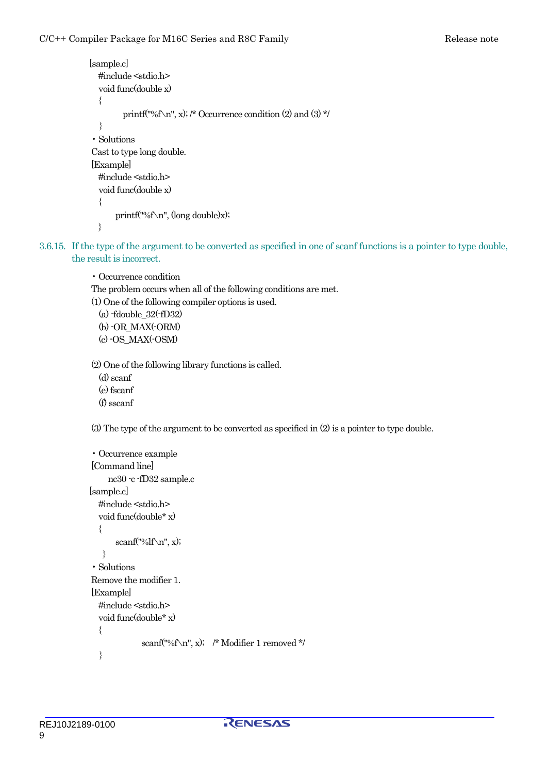```
 [sample.c] 
  #include <stdio.h> 
   void func(double x) 
   { 
         printf("%f\n", x); /* Occurrence condition (2) and (3) */
   } 
• Solutions 
Cast to type long double. 
[Example] 
   #include <stdio.h> 
   void func(double x) 
   { 
        printf("%f\n", (long double)x); 
   }
```
3.6.15. If the type of the argument to be converted as specified in one of scanf functions is a pointer to type double, the result is incorrect.

> • Occurrence condition The problem occurs when all of the following conditions are met. (1) One of the following compiler options is used.  $(a)$ -fdouble  $32$ (-fD32) (b) -OR\_MAX(-ORM) (c) -OS\_MAX(-OSM)

(2) One of the following library functions is called.

 (d) scanf (e) fscanf (f) sscanf

(3) The type of the argument to be converted as specified in (2) is a pointer to type double.

```
• Occurrence example 
[Command line] 
      nc30 -c -fD32 sample.c 
 [sample.c] 
   #include <stdio.h> 
   void func(double* x) 
   { 
       scanf("%If\n\lambda", x);
   } 
• Solutions 
Remove the modifier 1. 
[Example] 
   #include <stdio.h> 
   void func(double* x) 
   { 
              scanf("%f\n", x); /* Modifier 1 removed */
   }
```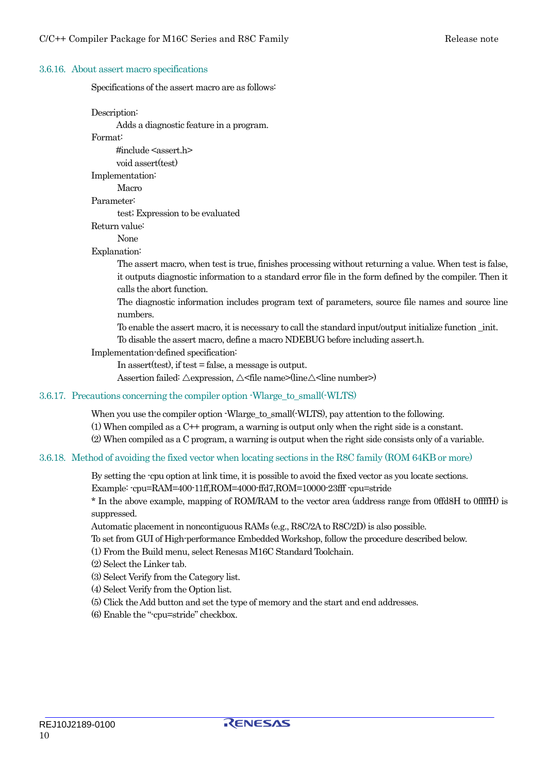#### <span id="page-9-0"></span>3.6.16. About assert macro specifications

Specifications of the assert macro are as follows:

Description:

Adds a diagnostic feature in a program.

Format:

 $\#$ include  $\leq$ assert.h $>$ 

void assert(test)

Implementation:

Macro

Parameter:

test; Expression to be evaluated

Return value:

None

### Explanation:

The assert macro, when test is true, finishes processing without returning a value. When test is false, it outputs diagnostic information to a standard error file in the form defined by the compiler. Then it calls the abort function.

The diagnostic information includes program text of parameters, source file names and source line numbers.

To enable the assert macro, it is necessary to call the standard input/output initialize function \_init.

To disable the assert macro, define a macro NDEBUG before including assert.h.

#### Implementation-defined specification:

In assert(test), if test = false, a message is output.

Assertion failed:  $\triangle$ expression,  $\triangle$ <file name>(line $\triangle$ <line number>)

#### 3.6.17. Precautions concerning the compiler option -Wlarge to small(-WLTS)

When you use the compiler option -Wlarge\_to\_small(-WLTS), pay attention to the following.

(1) When compiled as a C++ program, a warning is output only when the right side is a constant.

(2) When compiled as a C program, a warning is output when the right side consists only of a variable.

#### 3.6.18. Method of avoiding the fixed vector when locating sections in the R8C family (ROM 64KB or more)

By setting the -cpu option at link time, it is possible to avoid the fixed vector as you locate sections. Example: -cpu=RAM=400-11ff,ROM=4000-ffd7,ROM=10000-23fff -cpu=stride

\* In the above example, mapping of ROM/RAM to the vector area (address range from 0ffd8H to 0ffffH) is suppressed.

Automatic placement in noncontiguous RAMs (e.g., R8C/2A to R8C/2D) is also possible.

To set from GUI of High-performance Embedded Workshop, follow the procedure described below.

(1) From the Build menu, select Renesas M16C Standard Toolchain.

(2) Select the Linker tab.

(3) Select Verify from the Category list.

(4) Select Verify from the Option list.

(5) Click the Add button and set the type of memory and the start and end addresses.

(6) Enable the "-cpu=stride" checkbox.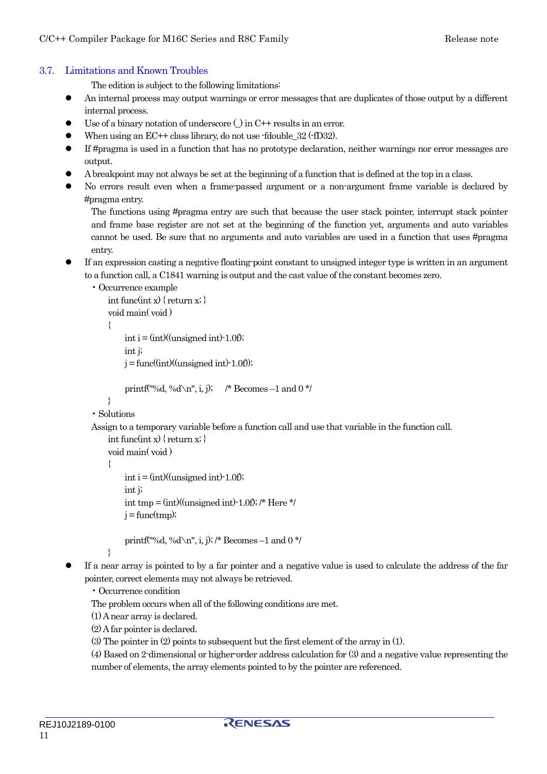### <span id="page-10-0"></span>3.7. Limitations and Known Troubles

The edition is subject to the following limitations:

- An internal process may output warnings or error messages that are duplicates of those output by a different internal process.
- $\bullet$  Use of a binary notation of underscore () in C++ results in an error.
- When using an  $EC++$  class library, do not use -fdouble\_32 (-fD32).
- z If #pragma is used in a function that has no prototype declaration, neither warnings nor error messages are output.
- A breakpoint may not always be set at the beginning of a function that is defined at the top in a class.
- No errors result even when a frame-passed argument or a non-argument frame variable is declared by #pragma entry.

The functions using #pragma entry are such that because the user stack pointer, interrupt stack pointer and frame base register are not set at the beginning of the function yet, arguments and auto variables cannot be used. Be sure that no arguments and auto variables are used in a function that uses #pragma entry.

If an expression casting a negative floating-point constant to unsigned integer type is written in an argument to a function call, a C1841 warning is output and the cast value of the constant becomes zero.

```
• Occurrence example 
    int func(int x) { return x; }
     void main( void ) 
     { 
          int i = (int)((unsigned int)-1.0f));
          int i;
          j = \frac{func((int)((unsigned int)-1.0f))}{i}
```

```
printf("%d, %d\n", i, j); /* Becomes -1 and 0 */
```

```
 } 
• Solutions
```
Assign to a temporary variable before a function call and use that variable in the function call.

```
int func(int x) { return x; }
 void main( void ) 
 { 
    int i = (int)/((unsigned int)-1.0f);int i;
    int tmp = (int)(unsigned int)-1.0f); /* Here */
    j = func(tmp);printf("%d, %d\n", i, j); /* Becomes -1 and 0 */
```

```
 }
```
If a near array is pointed to by a far pointer and a negative value is used to calculate the address of the far pointer, correct elements may not always be retrieved.

• Occurrence condition

The problem occurs when all of the following conditions are met.

(1) A near array is declared.

(2) A far pointer is declared.

(3) The pointer in (2) points to subsequent but the first element of the array in (1).

(4) Based on 2-dimensional or higher-order address calculation for (3) and a negative value representing the number of elements, the array elements pointed to by the pointer are referenced.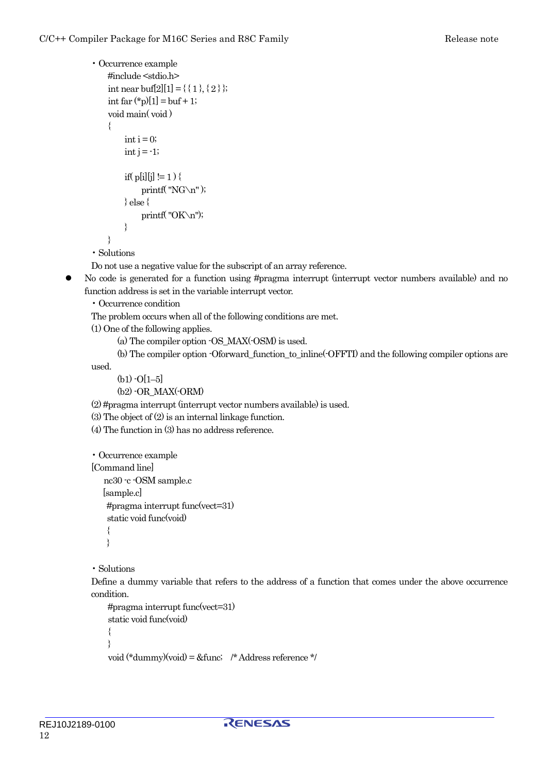```
• Occurrence example 
     #include <stdio.h> 
    int near buf[2][1] = \{\{1\},\{2\}\};int far (*p)[1] = \text{buf} + 1; void main( void ) 
     { 
          \text{int } i = 0;
          int j = -1;
          if( p[i][j] := 1 ) {
               printf("NG\n\infty");
          \} else \{printf("OK\n");
           } 
     }
```
• Solutions

Do not use a negative value for the subscript of an array reference.

• No code is generated for a function using #pragma interrupt (interrupt vector numbers available) and no function address is set in the variable interrupt vector.

• Occurrence condition

The problem occurs when all of the following conditions are met.

(1) One of the following applies.

(a) The compiler option -OS\_MAX(-OSM) is used.

(b) The compiler option -Oforward\_function\_to\_inline(-OFFTI) and the following compiler options are

used.

 $(b1)$  -O[1–5]

(b2) -OR\_MAX(-ORM)

(2) #pragma interrupt (interrupt vector numbers available) is used.

(3) The object of (2) is an internal linkage function.

(4) The function in (3) has no address reference.

```
• Occurrence example 
[Command line] 
   nc30 -c -OSM sample.c 
   [sample.c] 
    #pragma interrupt func(vect=31)
```
static void func(void)

 $\{$ 

```
 }
```
• Solutions

Define a dummy variable that refers to the address of a function that comes under the above occurrence condition.

```
 #pragma interrupt func(vect=31) 
 static void func(void) 
 { 
 } 
 void (*dummy)(void) = &func; /* Address reference */
```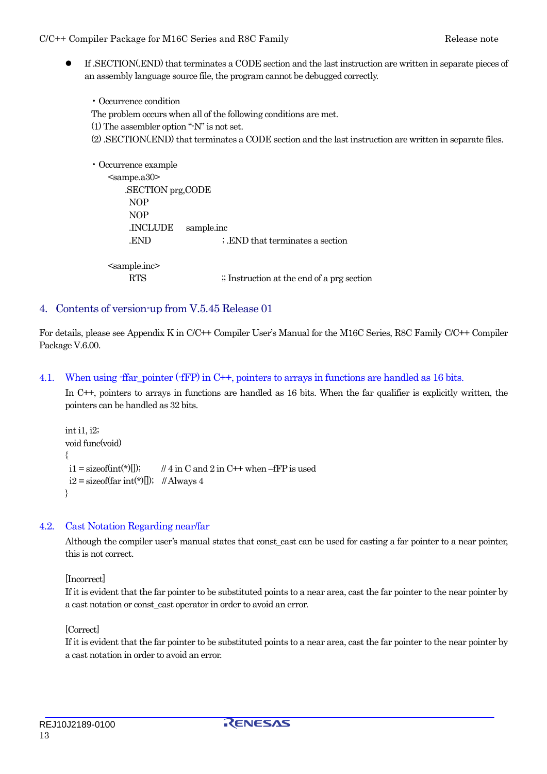<span id="page-12-0"></span>z If .SECTION(.END) that terminates a CODE section and the last instruction are written in separate pieces of an assembly language source file, the program cannot be debugged correctly.

• Occurrence condition The problem occurs when all of the following conditions are met. (1) The assembler option "-N" is not set. (2) .SECTION(.END) that terminates a CODE section and the last instruction are written in separate files.

```
• Occurrence example 
   <sampe.a30 .SECTION prg,CODE 
        NOP 
        NOP 
        .INCLUDE sample.inc 
       END : END that terminates a section
    <sample.inc> 
       RTS \therefore Instruction at the end of a prg section
```
### 4. Contents of version-up from V.5.45 Release 01

For details, please see Appendix K in C/C++ Compiler User's Manual for the M16C Series, R8C Family C/C++ Compiler Package V.6.00.

### 4.1. When using -ffar pointer (-fFP) in C++, pointers to arrays in functions are handled as 16 bits.

In C++, pointers to arrays in functions are handled as 16 bits. When the far qualifier is explicitly written, the pointers can be handled as 32 bits.

```
int i1, i2; 
void func(void) 
{ 
 i1 = sizeof(int(*)[]); // 4 in C and 2 in C++ when –fFP is used
 i2 = size of \frac{f(x)}{f(x)}; // Always 4
}
```
### 4.2. Cast Notation Regarding near/far

Although the compiler user's manual states that const cast can be used for casting a far pointer to a near pointer, this is not correct.

[Incorrect]

If it is evident that the far pointer to be substituted points to a near area, cast the far pointer to the near pointer by a cast notation or const\_cast operator in order to avoid an error.

[Correct]

If it is evident that the far pointer to be substituted points to a near area, cast the far pointer to the near pointer by a cast notation in order to avoid an error.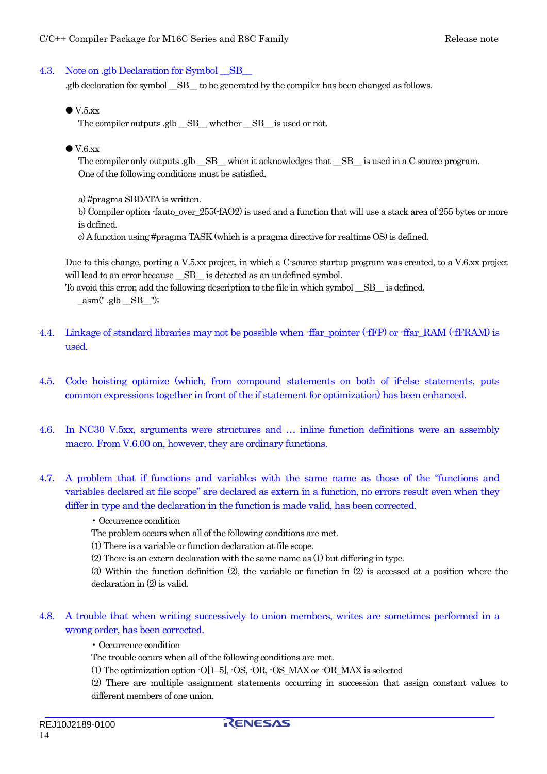### <span id="page-13-0"></span>4.3. Note on .glb Declaration for Symbol SB

.glb declaration for symbol \_\_SB\_\_ to be generated by the compiler has been changed as follows.

 $\bullet$  V.5.xx

The compiler outputs .glb  $\angle$  SB whether SB is used or not.

 $\bullet$  V.6.xx

The compiler only outputs .glb \_\_SB\_\_ when it acknowledges that \_\_SB\_\_ is used in a C source program. One of the following conditions must be satisfied.

a) #pragma SBDATA is written.

b) Compiler option -fauto over  $255$ (-fAO2) is used and a function that will use a stack area of 255 bytes or more is defined.

c) A function using #pragma TASK (which is a pragma directive for realtime OS) is defined.

Due to this change, porting a V.5.xx project, in which a C-source startup program was created, to a V.6.xx project will lead to an error because  $\_\text{SB}\_\text{is detected as an undefined symbol.}$ 

To avoid this error, add the following description to the file in which symbol \_\_SB\_\_ is defined.  $\text{Lasm}("glb \_\text{SB}")$ ;

- 4.4. Linkage of standard libraries may not be possible when -ffar pointer (-fFP) or -ffar RAM (-fFRAM) is used.
- 4.5. Code hoisting optimize (which, from compound statements on both of if-else statements, puts common expressions together in front of the if statement for optimization) has been enhanced.
- 4.6. In NC30 V.5xx, arguments were structures and … inline function definitions were an assembly macro. From V.6.00 on, however, they are ordinary functions.
- 4.7. A problem that if functions and variables with the same name as those of the "functions and variables declared at file scope" are declared as extern in a function, no errors result even when they differ in type and the declaration in the function is made valid, has been corrected.
	- Occurrence condition

The problem occurs when all of the following conditions are met.

- (1) There is a variable or function declaration at file scope.
- (2) There is an extern declaration with the same name as (1) but differing in type.

(3) Within the function definition (2), the variable or function in (2) is accessed at a position where the declaration in (2) is valid.

4.8. A trouble that when writing successively to union members, writes are sometimes performed in a wrong order, has been corrected.

• Occurrence condition

The trouble occurs when all of the following conditions are met.

(1) The optimization option -O[1–5], -OS, -OR, -OS\_MAX or -OR\_MAX is selected

(2) There are multiple assignment statements occurring in succession that assign constant values to different members of one union.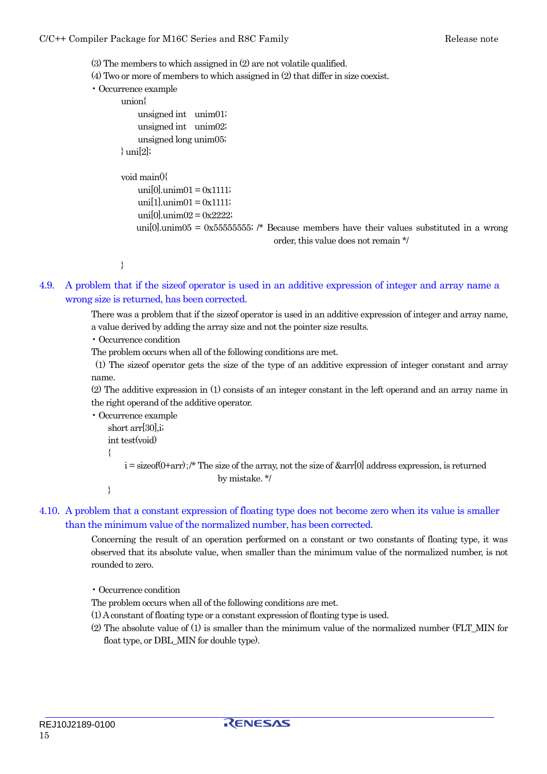<span id="page-14-0"></span>(3) The members to which assigned in (2) are not volatile qualified.

(4) Two or more of members to which assigned in (2) that differ in size coexist.

```
• Occurrence example
```

```
 union{
```

```
 unsigned int unim01; 
     unsigned int unim02; 
     unsigned long unim05; 
\} uni[2];
 void main(){ 
    unif 0].unim01 = 0x1111;
    unif 1!unim 01 = 0x1111;uni[0].unim[02] = 0x2222;
```
uni[0].unim05 = 0x555555555; /\* Because members have their values substituted in a wrong order, this value does not remain \*/

}

4.9. A problem that if the sizeof operator is used in an additive expression of integer and array name a wrong size is returned, has been corrected.

> There was a problem that if the sizeof operator is used in an additive expression of integer and array name, a value derived by adding the array size and not the pointer size results.

• Occurrence condition

The problem occurs when all of the following conditions are met.

 (1) The sizeof operator gets the size of the type of an additive expression of integer constant and array name.

(2) The additive expression in (1) consists of an integer constant in the left operand and an array name in the right operand of the additive operator.

• Occurrence example

```
 short arr[30],i; 
 int test(void)
```

```
 {
```
 $i =$  sizeof(0+arr);/\* The size of the array, not the size of  $& \text{arr}[0]$  address expression, is returned by mistake. \*/

}

### 4.10. A problem that a constant expression of floating type does not become zero when its value is smaller than the minimum value of the normalized number, has been corrected.

Concerning the result of an operation performed on a constant or two constants of floating type, it was observed that its absolute value, when smaller than the minimum value of the normalized number, is not rounded to zero.

• Occurrence condition

The problem occurs when all of the following conditions are met.

- (1) A constant of floating type or a constant expression of floating type is used.
- (2) The absolute value of (1) is smaller than the minimum value of the normalized number (FLT\_MIN for float type, or DBL\_MIN for double type).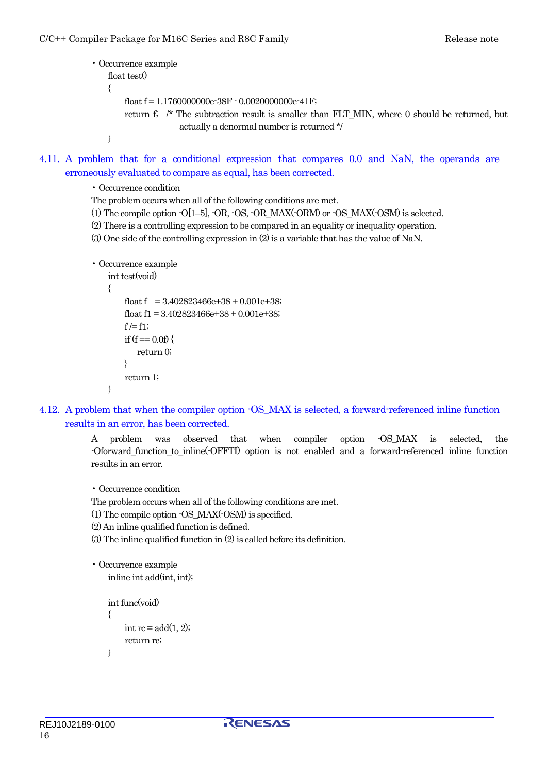```
• Occurrence example 
   float test()
    { 
        float f = 1.1760000000e-38F - 0.002000000e-41F;
         return f; /* The subtraction result is smaller than FLT_MIN, where 0 should be returned, but 
                      actually a denormal number is returned */ 
    }
```
4.11. A problem that for a conditional expression that compares 0.0 and NaN, the operands are erroneously evaluated to compare as equal, has been corrected.

• Occurrence condition

The problem occurs when all of the following conditions are met.

 $(1)$  The compile option  $-O[1-5]$ ,  $-OR$ ,  $-OS$ ,  $-OR$ ,  $MAX(-ORM)$  or  $-OS$ ,  $MAX(-OSM)$  is selected.

(2) There is a controlling expression to be compared in an equality or inequality operation.

(3) One side of the controlling expression in (2) is a variable that has the value of NaN.

```
• Occurrence example 
     int test(void) 
     { 
         float f = 3.402823466e+38 + 0.001e+38;
         float f1 = 3.402823466e+38 + 0.001e+38;
         f = f1;
         if (f = 0.0f) {
             return 0; 
         } 
          return 1; 
     }
```
4.12. A problem that when the compiler option -OS\_MAX is selected, a forward-referenced inline function results in an error, has been corrected.

> A problem was observed that when compiler option -OS\_MAX is selected, the -Oforward\_function\_to\_inline(-OFFTI) option is not enabled and a forward-referenced inline function results in an error.

• Occurrence condition

The problem occurs when all of the following conditions are met.

(1) The compile option -OS\_MAX(-OSM) is specified.

- (2) An inline qualified function is defined.
- (3) The inline qualified function in (2) is called before its definition.

```
• Occurrence example 
     inline int add(int, int);
```

```
 int func(void) 
 { 
     int rc = add(1, 2);
      return rc; 
 }
```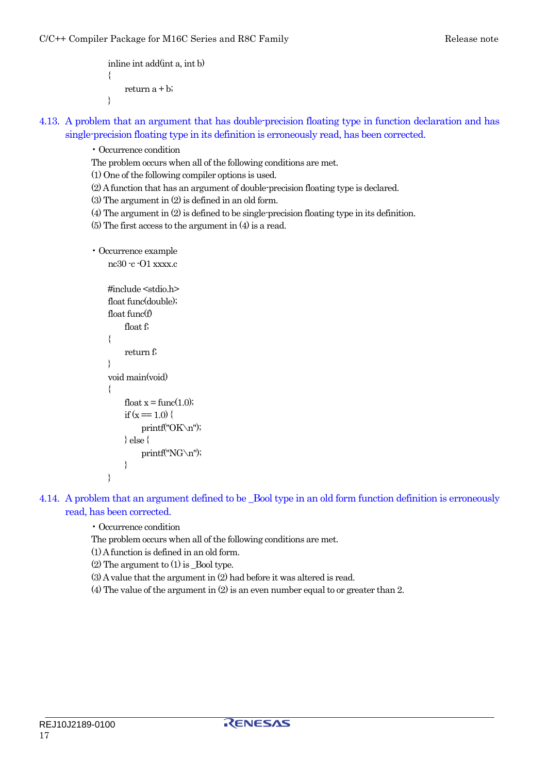```
 inline int add(int a, int b) 
 { 
     return a + b;
 }
```
- 4.13. A problem that an argument that has double-precision floating type in function declaration and has single-precision floating type in its definition is erroneously read, has been corrected.
	- Occurrence condition
	- The problem occurs when all of the following conditions are met.

(1) One of the following compiler options is used.

(2) A function that has an argument of double-precision floating type is declared.

(3) The argument in (2) is defined in an old form.

(4) The argument in (2) is defined to be single-precision floating type in its definition.

(5) The first access to the argument in (4) is a read.

```
• Occurrence example
```

```
 nc30 -c -O1 xxxx.c
```

```
 #include <stdio.h> 
     float func(double); 
     float func(f) 
           float f; 
     { 
           return f; 
     } 
     void main(void) 
\{float x = \text{func}(1.0);
          if (x = 1.0) {
                printf("OK\n"); 
          } else { 
                printf("NG\n"); 
 } 
     }
```
- 4.14. A problem that an argument defined to be \_Bool type in an old form function definition is erroneously read, has been corrected.
	- Occurrence condition
	- The problem occurs when all of the following conditions are met.

(1) A function is defined in an old form.

- (2) The argument to (1) is \_Bool type.
- (3) A value that the argument in (2) had before it was altered is read.
- (4) The value of the argument in (2) is an even number equal to or greater than 2.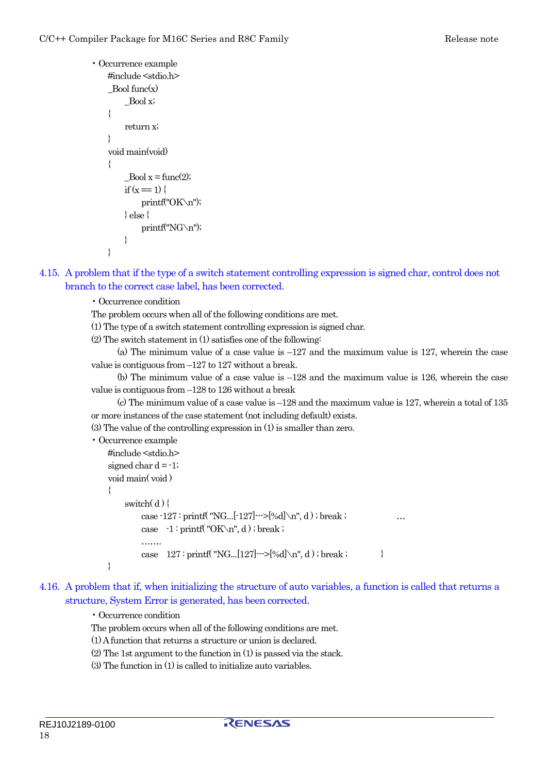```
• Occurrence example 
     #include <stdio.h> 
    Bool~func(x) _Bool x; 
     { 
          return x; 
 } 
     void main(void) 
\{Bool x = \text{func}(2);
         if (x = 1) {
               printf("OK\n"); 
          } else { 
               printf("NG\n"); 
          } 
     }
```
- 4.15. A problem that if the type of a switch statement controlling expression is signed char, control does not branch to the correct case label, has been corrected.
	- Occurrence condition
	- The problem occurs when all of the following conditions are met.
	- (1) The type of a switch statement controlling expression is signed char.
	- (2) The switch statement in (1) satisfies one of the following:
	- (a) The minimum value of a case value is  $-127$  and the maximum value is 127, wherein the case value is contiguous from –127 to 127 without a break.
	- (b) The minimum value of a case value is –128 and the maximum value is 126, wherein the case value is contiguous from –128 to 126 without a break
	- (c) The minimum value of a case value is  $-128$  and the maximum value is 127, wherein a total of 135 or more instances of the case statement (not including default) exists.
	- (3) The value of the controlling expression in (1) is smaller than zero.

```
• Occurrence example
```

```
 #include <stdio.h> 
signed char d = -1;
 void main( void ) 
 { 
    switch(d) {
        case -127 : printf( "NG...[-127]--->[\%d] \n\infty", d); break;
        case -1: printf("OK\n", d); break;
        ………
        case 127 : print(f "NG...[127]-->[%d] \n\infty", d); break;
 }
```
4.16. A problem that if, when initializing the structure of auto variables, a function is called that returns a structure, System Error is generated, has been corrected.

#### • Occurrence condition

- The problem occurs when all of the following conditions are met.
- (1) A function that returns a structure or union is declared.
- (2) The 1st argument to the function in (1) is passed via the stack.
- (3) The function in (1) is called to initialize auto variables.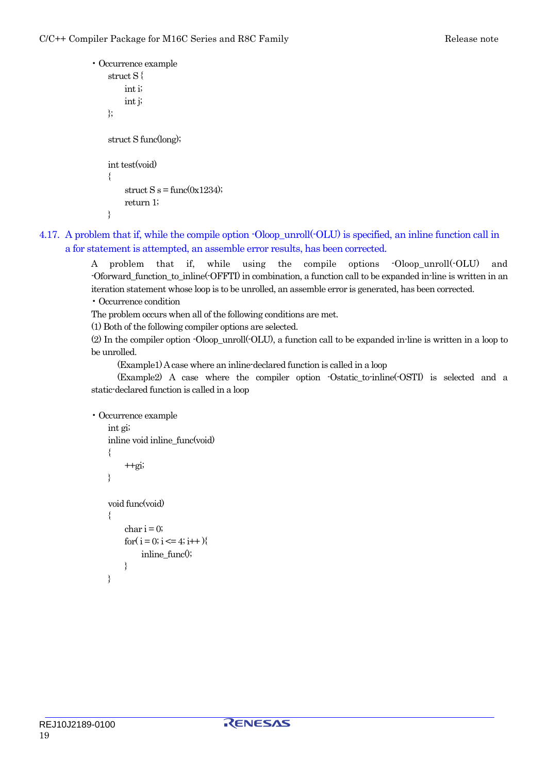```
• Occurrence example 
     struct S { 
           int i; 
           int j; 
     }; 
     struct S func(long); 
     int test(void) 
    \{struct S s = func(0x1234);
           return 1; 
     }
```
4.17. A problem that if, while the compile option -Oloop\_unroll(-OLU) is specified, an inline function call in a for statement is attempted, an assemble error results, has been corrected.

> A problem that if, while using the compile options -Oloop\_unroll(-OLU) and -Oforward\_function\_to\_inline(-OFFTI) in combination, a function call to be expanded in-line is written in an iteration statement whose loop is to be unrolled, an assemble error is generated, has been corrected. • Occurrence condition

The problem occurs when all of the following conditions are met.

(1) Both of the following compiler options are selected.

(2) In the compiler option -Oloop\_unroll(-OLU), a function call to be expanded in-line is written in a loop to be unrolled.

(Example1) A case where an inline-declared function is called in a loop

 (Example2) A case where the compiler option -Ostatic\_to-inline(-OSTI) is selected and a static-declared function is called in a loop

```
• Occurrence example
```

```
 int gi; 
inline void inline func(void)
 { 
     +qi;
 } 
 void func(void) 
 { 
     char i = 0;for(i = 0; i \le 4; i \ne +1){
           inline_func();
      } 
 }
```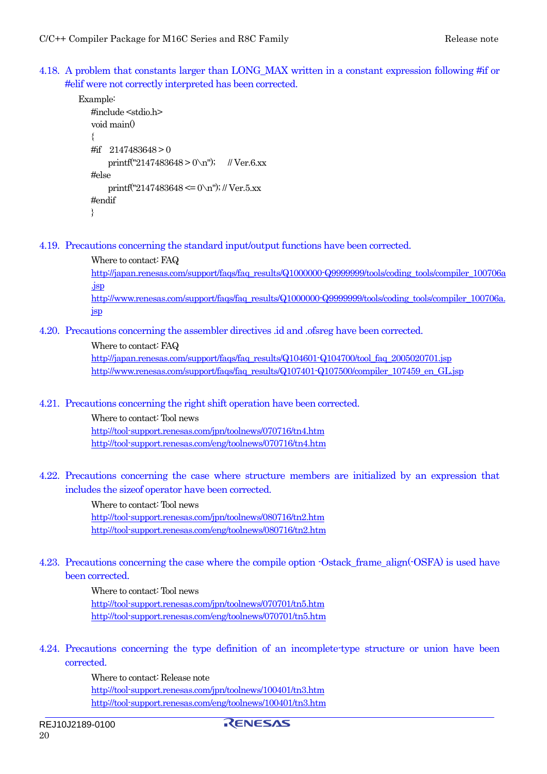<span id="page-19-0"></span>4.18. A problem that constants larger than LONG\_MAX written in a constant expression following #if or #elif were not correctly interpreted has been corrected.

```
Example: 
   #include <stdio.h> 
   void main() 
   { 
   #if 2147483648 > 0 
       printf("2147483648 > 0\n"); // Ver.6.xx
   #else 
       printf("2147483648 \leq 0\n"); // Ver.5.xx
   #endif 
   }
```
4.19. Precautions concerning the standard input/output functions have been corrected.

```
Where to contact: FAQ 
http://japan.renesas.com/support/faqs/faq_results/Q1000000-Q9999999/tools/coding_tools/compiler_100706a
.jsp
http://www.renesas.com/support/faqs/faq_results/Q1000000-Q9999999/tools/coding_tools/compiler_100706a.
jsp
```
4.20. Precautions concerning the assembler directives .id and .ofsreg have been corrected.

```
Where to contact: FAQ 
http://japan.renesas.com/support/faqs/faq_results/Q104601-Q104700/tool_faq_2005020701.jsp
http://www.renesas.com/support/faqs/faq_results/Q107401-Q107500/compiler_107459_en_GL.jsp
```
4.21. Precautions concerning the right shift operation have been corrected.

Where to contact: Tool news <http://tool-support.renesas.com/jpn/toolnews/070716/tn4.htm> http://tool-support.renesas.com/eng/toolnews/070716/tn4.htm

4.22. Precautions concerning the case where structure members are initialized by an expression that includes the sizeof operator have been corrected.

> Where to contact: Tool news <http://tool-support.renesas.com/jpn/toolnews/080716/tn2.htm> http://tool-support.renesas.com/eng/toolnews/080716/tn2.htm

4.23. Precautions concerning the case where the compile option -Ostack\_frame\_align(-OSFA) is used have been corrected.

> Where to contact: Tool news <http://tool-support.renesas.com/jpn/toolnews/070701/tn5.htm> http://tool-support.renesas.com/eng/toolnews/070701/tn5.htm

4.24. Precautions concerning the type definition of an incomplete-type structure or union have been corrected.

> Where to contact: Release note <http://tool-support.renesas.com/jpn/toolnews/100401/tn3.htm> http://tool-support.renesas.com/eng/toolnews/100401/tn3.htm

RENESAS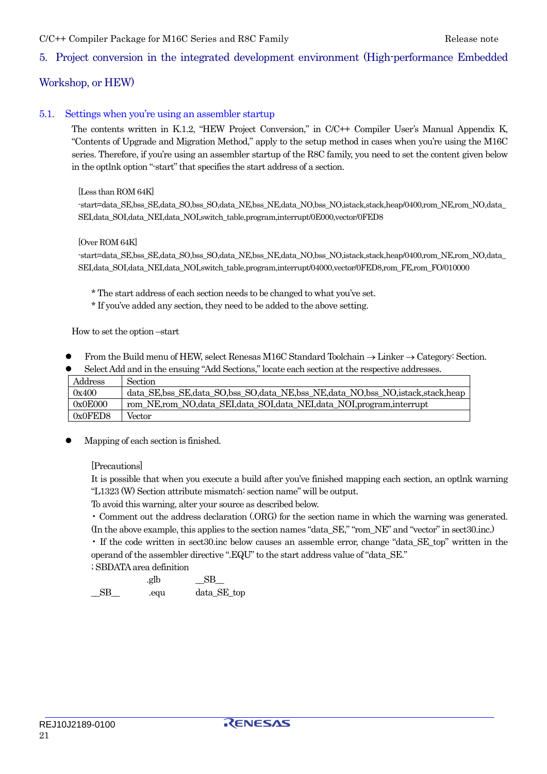### <span id="page-20-0"></span>C/C++ Compiler Package for M16C Series and R8C Family The Company Release note

### 5. Project conversion in the integrated development environment (High-performance Embedded

### Workshop, or HEW)

#### 5.1. Settings when you're using an assembler startup

The contents written in K.1.2, "HEW Project Conversion," in C/C++ Compiler User's Manual Appendix K, "Contents of Upgrade and Migration Method," apply to the setup method in cases when you're using the M16C series. Therefore, if you're using an assembler startup of the R8C family, you need to set the content given below in the optlnk option "-start" that specifies the start address of a section.

#### [Less than ROM 64K]

-start=data\_SE,bss\_SE,data\_SO,bss\_SO,data\_NE,bss\_NE,data\_NO,bss\_NO,istack,stack,heap/0400,rom\_NE,rom\_NO,data\_ SEI,data\_SOI,data\_NEI,data\_NOI,switch\_table,program,interrupt/0E000,vector/0FED8

#### [Over ROM 64K]

-start=data\_SE,bss\_SE,data\_SO,bss\_SO,data\_NE,bss\_NE,data\_NO,bss\_NO,istack,stack,heap/0400,rom\_NE,rom\_NO,data\_ SEI,data\_SOI,data\_NEI,data\_NOI,switch\_table,program,interrupt/04000,vector/0FED8,rom\_FE,rom\_FO/010000

\* The start address of each section needs to be changed to what you've set.

\* If you've added any section, they need to be added to the above setting.

How to set the option –start

z From the Build menu of HEW, select Renesas M16C Standard Toolchain → Linker → Category: Section.

| $\bullet$                                                                              | Select Add and in the ensuing "Add Sections," locate each section at the respective addresses. |  |  |  |  |  |
|----------------------------------------------------------------------------------------|------------------------------------------------------------------------------------------------|--|--|--|--|--|
| Address                                                                                | Section                                                                                        |  |  |  |  |  |
| data_SE,bss_SE,data_SO,bss_SO,data_NE,bss_NE,data_NO,bss_NO,istack,stack,heap<br>0x400 |                                                                                                |  |  |  |  |  |
| 0x0E000                                                                                | rom_NE,rom_NO,data_SEI,data_SOI,data_NEI,data_NOI,program,interrupt                            |  |  |  |  |  |
| 0x0FED8<br>Vector                                                                      |                                                                                                |  |  |  |  |  |

Mapping of each section is finished.

[Precautions]

It is possible that when you execute a build after you've finished mapping each section, an optlnk warning "L1323 (W) Section attribute mismatch: section name" will be output.

To avoid this warning, alter your source as described below.

• Comment out the address declaration (.ORG) for the section name in which the warning was generated. (In the above example, this applies to the section names "data\_SE," "rom\_NE" and "vector" in sect30.inc.)

• If the code written in sect30.inc below causes an assemble error, change "data\_SE\_top" written in the operand of the assembler directive ".EQU" to the start address value of "data\_SE."

; SBDATA area definition

.glb  $SB$ \_\_SB\_\_ .equ data\_SE\_top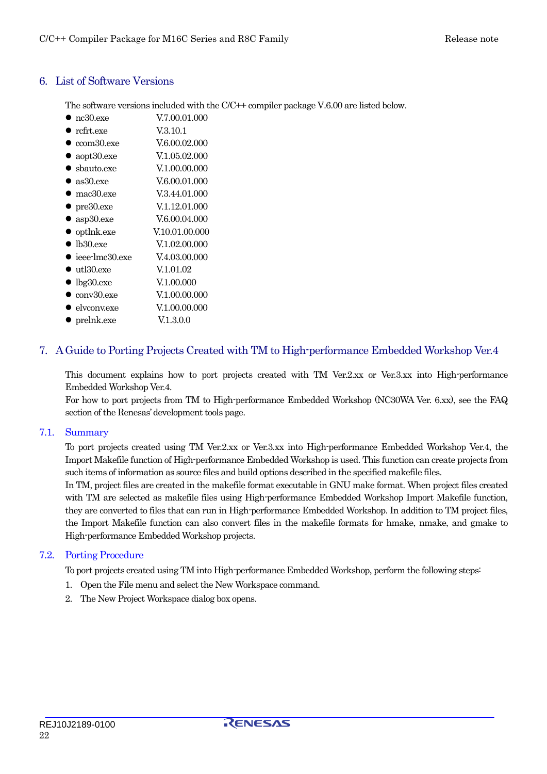### <span id="page-21-0"></span>6. List of Software Versions

The software versions included with the C/C++ compiler package V.6.00 are listed below.

- nc30.exe V.7.00.01.000
- $\bullet$  rcfrt.exe  $V.3.10.1$
- $\bullet$  ccom30.exe  $V.6.00.02.000$
- $aopt30.exe$  V.1.05.02.000
- $\bullet$  shauto.exe  $V.1.00.00.000$
- $\bullet$  as 30.exe  $V.6.00.01.000$
- mac30.exe  $V.3.44.01.000$
- $\bullet$  pre30.exe  $V.1.12.01.000$
- $\bullet$  asp30.exe  $V.6.00.04.000$
- $\bullet$  optlnk.exe  $V.10.01.00.000$
- lb30.exe V.1.02.00.000
- $\bullet$  ieee-lmc30.exe  $V.4.03.00.000$
- $\bullet$  utl30.exe  $V.1.01.02$
- $\bullet$  lbg30.exe  $V.1.00.000$
- $\bullet$  conv30.exe  $V.1.00.00.000$
- $\bullet$  elvconv.exe  $V.1.00.00.000$
- $\bullet$  prelnk.exe  $V.1.3.0.0$

# 7. A Guide to Porting Projects Created with TM to High-performance Embedded Workshop Ver.4

This document explains how to port projects created with TM Ver.2.xx or Ver.3.xx into High-performance Embedded Workshop Ver.4.

For how to port projects from TM to High-performance Embedded Workshop (NC30WA Ver. 6.xx), see the FAQ section of the Renesas' development tools page.

### 7.1. Summary

To port projects created using TM Ver.2.xx or Ver.3.xx into High-performance Embedded Workshop Ver.4, the Import Makefile function of High-performance Embedded Workshop is used. This function can create projects from such items of information as source files and build options described in the specified makefile files.

In TM, project files are created in the makefile format executable in GNU make format. When project files created with TM are selected as makefile files using High-performance Embedded Workshop Import Makefile function, they are converted to files that can run in High-performance Embedded Workshop. In addition to TM project files, the Import Makefile function can also convert files in the makefile formats for hmake, nmake, and gmake to High-performance Embedded Workshop projects.

### 7.2. Porting Procedure

To port projects created using TM into High-performance Embedded Workshop, perform the following steps:

- 1. Open the File menu and select the New Workspace command.
- 2. The New Project Workspace dialog box opens.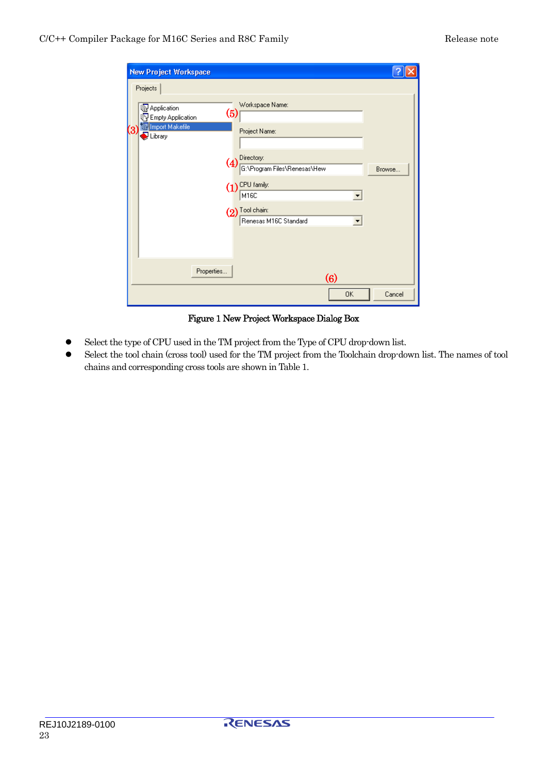| <b>New Project Workspace</b>                                                                                 |                                                                                                                                                                                                               |        |
|--------------------------------------------------------------------------------------------------------------|---------------------------------------------------------------------------------------------------------------------------------------------------------------------------------------------------------------|--------|
| Projects<br><b>B</b> Application<br><b>B</b> Empty Application<br>Inport Makefile<br>3<br>$\bigcirc$ Library | Workspace Name:<br>(5)<br>Project Name:<br>Directory:<br>$\overline{(4)}$<br>G:\Program Files\Renesas\Hew<br>CPU family:<br>(1)<br>M16C<br>$(2)$ Tool chain:<br>Renesas M16C Standard<br>$\blacktriangledown$ | Browse |
| Properties                                                                                                   | (6)                                                                                                                                                                                                           |        |
|                                                                                                              | 0K                                                                                                                                                                                                            | Cancel |

Figure 1 New Project Workspace Dialog Box

- z Select the type of CPU used in the TM project from the Type of CPU drop-down list.
- Select the tool chain (cross tool) used for the TM project from the Toolchain drop-down list. The names of tool chains and corresponding cross tools are shown in Table 1.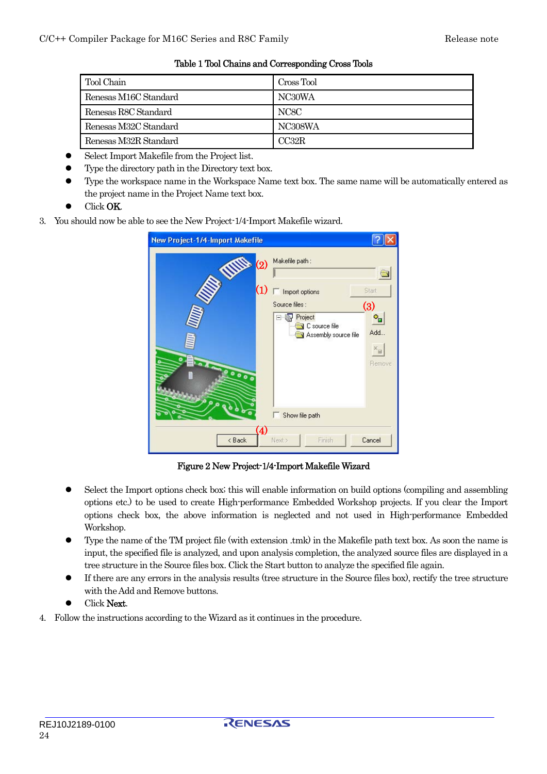| Tool Chain            | Cross Tool |
|-----------------------|------------|
| Renesas M16C Standard | NC30WA     |
| Renesas R8C Standard  | NC8C       |
| Renesas M32C Standard | NC308WA    |
| Renesas M32R Standard | CC32R      |

Table 1 Tool Chains and Corresponding Cross Tools

- Select Import Makefile from the Project list.
- Type the directory path in the Directory text box.
- Type the workspace name in the Workspace Name text box. The same name will be automatically entered as the project name in the Project Name text box.
- **•** Click **OK**.
- 3. You should now be able to see the New Project-1/4-Import Makefile wizard.

| New Project-1/4-Import Makefile |                                                                                                                                                                |
|---------------------------------|----------------------------------------------------------------------------------------------------------------------------------------------------------------|
| THE<br>(2)<br>(1)<br>0000<br>۵  | Makefile path:<br>Start<br>Import options<br>Source files:<br>(3)<br>Project<br>۰.<br>C source file<br>Add<br>Assembly source file<br>$x_{\text{c}}$<br>Remove |
| $\sigma$                        | Show file path                                                                                                                                                 |
| $\bf(4)$<br>< Back              | Finish<br>Cancel<br>Next >                                                                                                                                     |

Figure 2 New Project-1/4-Import Makefile Wizard

- Select the Import options check box; this will enable information on build options (compiling and assembling options etc.) to be used to create High-performance Embedded Workshop projects. If you clear the Import options check box, the above information is neglected and not used in High-performance Embedded Workshop.
- Type the name of the TM project file (with extension .tmk) in the Makefile path text box. As soon the name is input, the specified file is analyzed, and upon analysis completion, the analyzed source files are displayed in a tree structure in the Source files box. Click the Start button to analyze the specified file again.
- z If there are any errors in the analysis results (tree structure in the Source files box), rectify the tree structure with the Add and Remove buttons.
- Click Next.
- 4. Follow the instructions according to the Wizard as it continues in the procedure.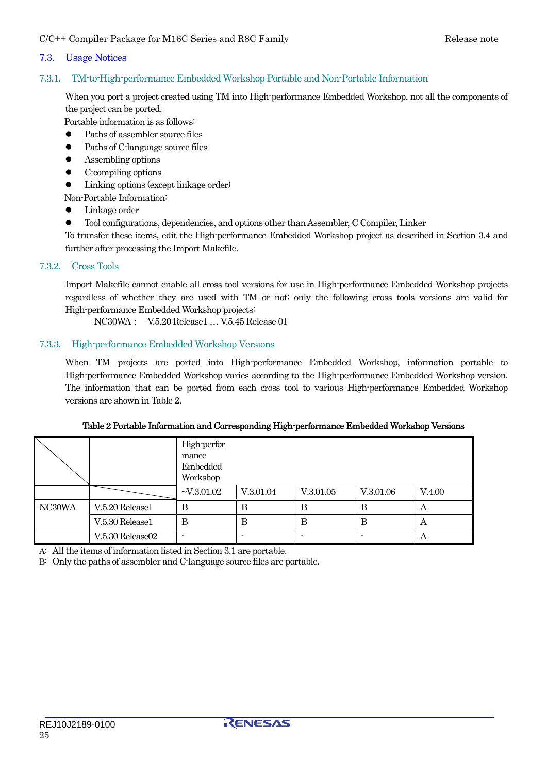### <span id="page-24-0"></span>7.3. Usage Notices

7.3.1. TM-to-High-performance Embedded Workshop Portable and Non-Portable Information

When you port a project created using TM into High-performance Embedded Workshop, not all the components of the project can be ported.

Portable information is as follows:

- Paths of assembler source files
- $\bullet$  Paths of C-language source files
- $\bullet$  Assembling options
- $\bullet$  C-compiling options
- Linking options (except linkage order)

Non-Portable Information:

- $\bullet$  Linkage order
- $\bullet$  Tool configurations, dependencies, and options other than Assembler, C Compiler, Linker

To transfer these items, edit the High-performance Embedded Workshop project as described in Section 3.4 and further after processing the Import Makefile.

#### 7.3.2. Cross Tools

Import Makefile cannot enable all cross tool versions for use in High-performance Embedded Workshop projects regardless of whether they are used with TM or not; only the following cross tools versions are valid for High-performance Embedded Workshop projects:

NC30WA: V.5.20 Release1 … V.5.45 Release 01

#### 7.3.3. High-performance Embedded Workshop Versions

When TM projects are ported into High-performance Embedded Workshop, information portable to High-performance Embedded Workshop varies according to the High-performance Embedded Workshop version. The information that can be ported from each cross tool to various High-performance Embedded Workshop versions are shown in Table 2.

|        |                  | High-perfor<br>mance<br>Embedded<br>Workshop |           |           |           |        |
|--------|------------------|----------------------------------------------|-----------|-----------|-----------|--------|
|        |                  | $-V.3.01.02$                                 | V.3.01.04 | V.3.01.05 | V.3.01.06 | V.4.00 |
| NC30WA | V.5.20 Release1  |                                              | В         | В         | в         | A      |
|        | V.5.30 Release1  | В                                            | B         | B         | В         | А      |
|        | V.5.30 Release02 |                                              |           |           |           | А      |

Table 2 Portable Information and Corresponding High-performance Embedded Workshop Versions

A: All the items of information listed in Section 3.1 are portable.

B: Only the paths of assembler and C-language source files are portable.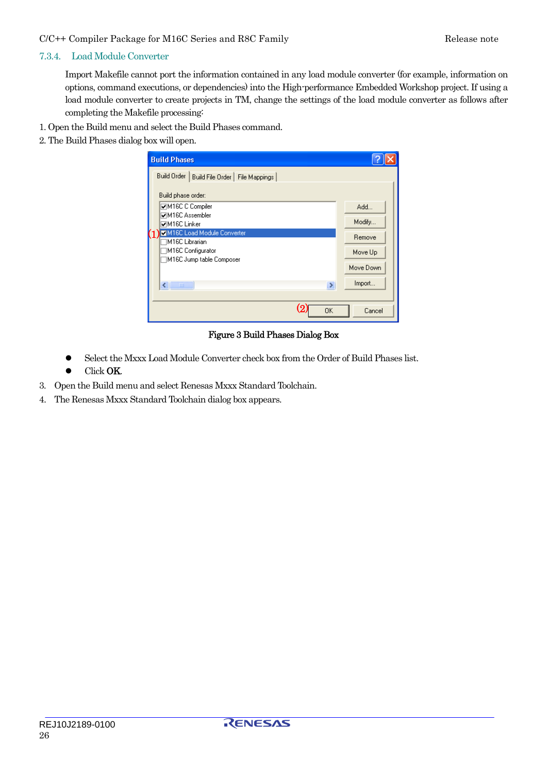#### <span id="page-25-0"></span>C/C++ Compiler Package for M16C Series and R8C Family Release note

#### 7.3.4. Load Module Converter

Import Makefile cannot port the information contained in any load module converter (for example, information on options, command executions, or dependencies) into the High-performance Embedded Workshop project. If using a load module converter to create projects in TM, change the settings of the load module converter as follows after completing the Makefile processing:

- 1. Open the Build menu and select the Build Phases command.
- 2. The Build Phases dialog box will open.

| <b>Build Phases</b>                             |           |  |  |  |  |
|-------------------------------------------------|-----------|--|--|--|--|
| Build Order<br>Build File Order   File Mappings |           |  |  |  |  |
| Build phase order:                              |           |  |  |  |  |
| <b>⊽M16C C Compiler</b>                         | Add       |  |  |  |  |
| <b>⊽M16C Assembler</b><br><b>ØM16C Linker</b>   | Modify    |  |  |  |  |
| M16C Load Module Converter<br>M16C Librarian    | Remove    |  |  |  |  |
| M16C Configurator                               | Move Up   |  |  |  |  |
| M16C Jump table Composer                        | Move Down |  |  |  |  |
| ×<br>∢<br>$\rm III$                             | Import    |  |  |  |  |
|                                                 |           |  |  |  |  |
| (၇<br><b>OK</b>                                 | Cancel    |  |  |  |  |

### Figure 3 Build Phases Dialog Box

- Select the Mxxx Load Module Converter check box from the Order of Build Phases list.
- Click OK.
- 3. Open the Build menu and select Renesas Mxxx Standard Toolchain.
- 4. The Renesas Mxxx Standard Toolchain dialog box appears.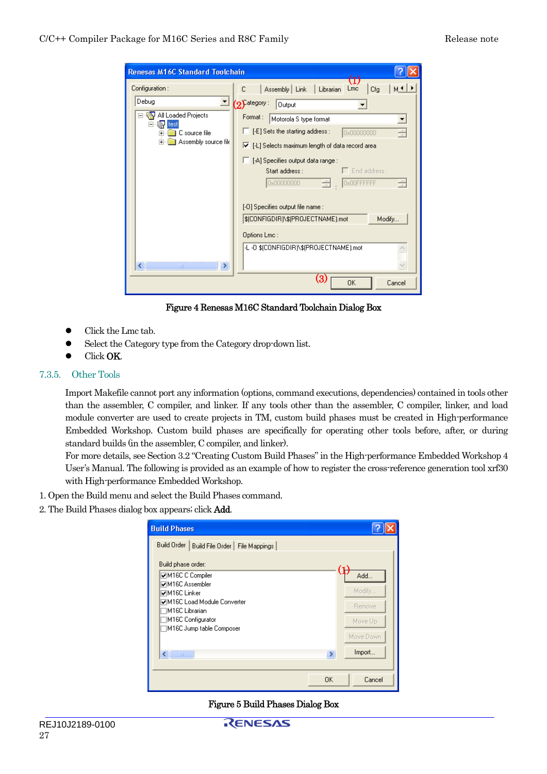<span id="page-26-0"></span>

| <b>Renesas M16C Standard Toolchain</b> |                                                                                |
|----------------------------------------|--------------------------------------------------------------------------------|
| Configuration:                         | $\textstyle{(1)}$<br>M⊀∥⊁<br>Assembly   Link<br>  Librarian<br>Lmc<br>C<br>Cfg |
| Debug                                  | $\mathcal{O}$ ategory:<br>Output                                               |
| All Loaded Projects<br>test            | Format:<br>Motorola S type format<br>▼                                         |
| C source file<br>Ė<br>Ė                | $\Box$ [-E] Sets the starting address :<br>0x00000000                          |
| Assembly source file                   | Ⅳ [-L] Selects maximum length of data record area                              |
|                                        | □ [-A] Specifies output data range :                                           |
|                                        | $\Box$ End address :<br>Start address:<br>0x00000000<br>0x00FFFFFF<br>壹        |
|                                        |                                                                                |
|                                        | [-0] Specifies output file name :                                              |
|                                        | \$[CONFIGDIR]\\$[PROJECTNAME].mot<br>Modify                                    |
|                                        | Options Lmc:                                                                   |
|                                        | -L -O \$(CONFIGDIR)\\$(PROJECTNAME).mot                                        |
| ≮∥<br>$\mathbf{m}$<br>⋟                |                                                                                |
|                                        | (3)<br><b>OK</b><br>Cancel                                                     |

Figure 4 Renesas M16C Standard Toolchain Dialog Box

- Click the Lmc tab.
- Select the Category type from the Category drop-down list.
- **•** Click **OK**.

### 7.3.5. Other Tools

Import Makefile cannot port any information (options, command executions, dependencies) contained in tools other than the assembler, C compiler, and linker. If any tools other than the assembler, C compiler, linker, and load module converter are used to create projects in TM, custom build phases must be created in High-performance Embedded Workshop. Custom build phases are specifically for operating other tools before, after, or during standard builds (in the assembler, C compiler, and linker).

For more details, see Section 3.2 "Creating Custom Build Phases" in the High-performance Embedded Workshop 4 User's Manual. The following is provided as an example of how to register the cross-reference generation tool xrf30 with High-performance Embedded Workshop.

- 1. Open the Build menu and select the Build Phases command.
- 2. The Build Phases dialog box appears; click Add.

| <b>Build Phases</b>                             |             |
|-------------------------------------------------|-------------|
| Build Order<br>Build File Order   File Mappings |             |
| Build phase order:                              |             |
| M16C C Compiler                                 | Add         |
| <b>⊽M16C Assembler</b><br><b>⊽M16C Linker</b>   | Modify      |
| ☑M16C Load Module Converter                     |             |
| IM16C Librarian                                 | Remove      |
| M16C Configurator                               | Move Up     |
| M16C Jump table Composer                        | Move Down   |
|                                                 |             |
| k.<br>IIII                                      | Import<br>× |
|                                                 |             |
| 0K                                              | Cancel      |

Figure 5 Build Phases Dialog Box

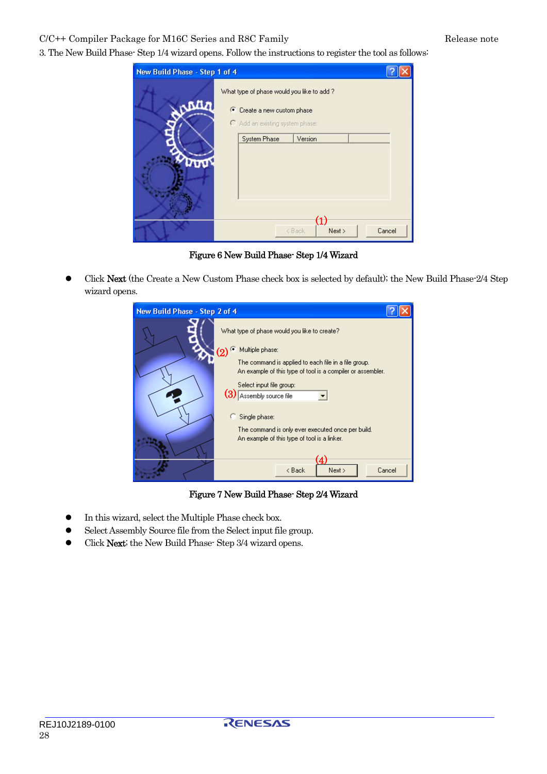C/C++ Compiler Package for M16C Series and R8C Family Release note

3. The New Build Phase- Step 1/4 wizard opens. Follow the instructions to register the tool as follows:

| New Build Phase - Step 1 of 4 |                                                                                                           |                                                |        |
|-------------------------------|-----------------------------------------------------------------------------------------------------------|------------------------------------------------|--------|
|                               | What type of phase would you like to add?<br>C Create a new custom phase<br>Add an existing system phase: |                                                |        |
|                               | System Phase                                                                                              | Version                                        |        |
|                               |                                                                                                           | $\textcircled{\textsc{1}}$<br>Next ><br>< Back | Cancel |

Figure 6 New Build Phase- Step 1/4 Wizard

• Click Next (the Create a New Custom Phase check box is selected by default); the New Build Phase-2/4 Step wizard opens.

| New Build Phase - Step 2 of 4 |                                                                                                                                                                             |  |
|-------------------------------|-----------------------------------------------------------------------------------------------------------------------------------------------------------------------------|--|
|                               | What type of phase would you like to create?<br>Multiple phase:<br>(၇)                                                                                                      |  |
|                               | The command is applied to each file in a file group.<br>An example of this type of tool is a compiler or assembler.<br>Select input file group:<br>(3) Assembly source file |  |
|                               | Single phase:<br>The command is only ever executed once per build.<br>An example of this type of tool is a linker.<br>Cancel<br>Next ><br>< Back                            |  |

Figure 7 New Build Phase- Step 2/4 Wizard

- $\bullet$  In this wizard, select the Multiple Phase check box.
- Select Assembly Source file from the Select input file group.
- Click Next; the New Build Phase- Step 3/4 wizard opens.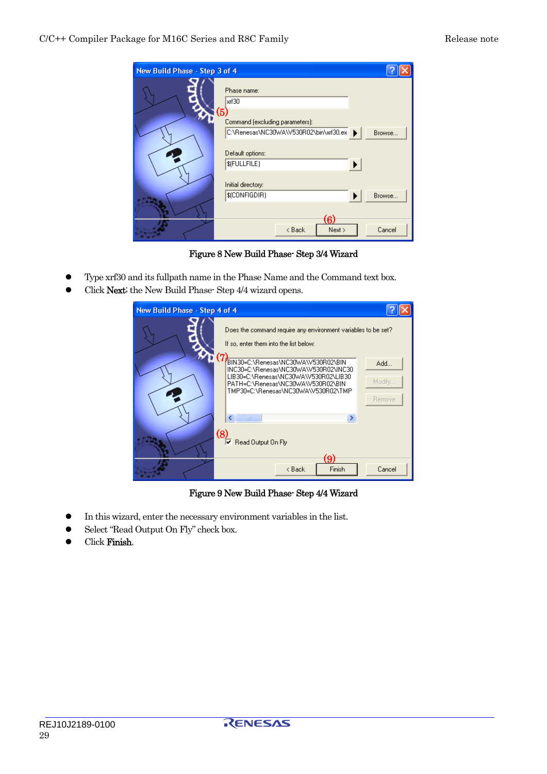| New Build Phase - Step 3 of 4 |                                     |        |
|-------------------------------|-------------------------------------|--------|
|                               | Phase name:<br>xrf30<br>(5)         |        |
|                               | Command (excluding parameters):     | Browse |
|                               | Default options:<br>\$(FULLFILE)    |        |
|                               | Initial directory:<br>\$(CONFIGDIR) | Browse |
|                               | (6)<br>Next ><br>< Back             | Cancel |

Figure 8 New Build Phase- Step 3/4 Wizard

- Type xrf30 and its fullpath name in the Phase Name and the Command text box.
- Click Next; the New Build Phase- Step 4/4 wizard opens.



Figure 9 New Build Phase- Step 4/4 Wizard

- In this wizard, enter the necessary environment variables in the list.
- Select "Read Output On Fly" check box.
- Click Finish.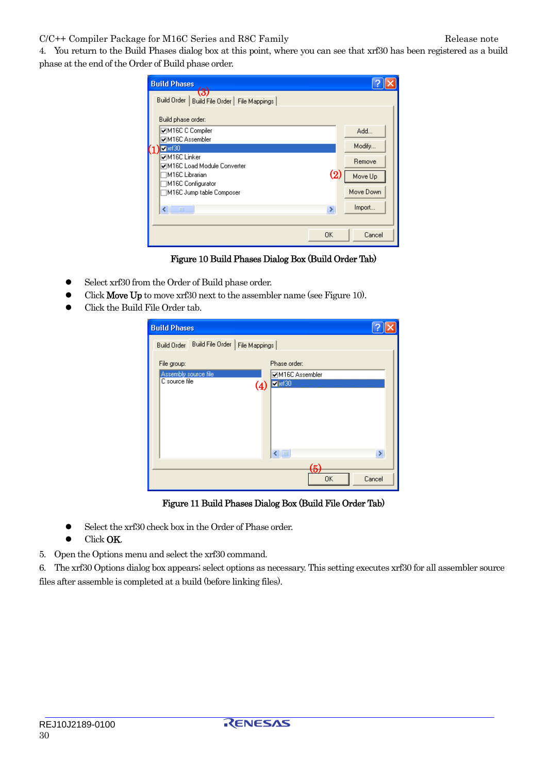### C/C++ Compiler Package for M16C Series and R8C Family Release note

4. You return to the Build Phases dialog box at this point, where you can see that xrf30 has been registered as a build phase at the end of the Order of Build phase order.

|                  | <b>Build Phases</b>                                            |                   |           |
|------------------|----------------------------------------------------------------|-------------------|-----------|
|                  | (3)<br><b>Build Order</b><br>Build File Order<br>File Mappings |                   |           |
|                  | Build phase order:                                             |                   |           |
|                  | <b>⊽M16C C Compiler</b><br><b>ØM16C Assembler</b>              |                   | Add       |
| $\mathfrak{c}_1$ | $x$ r30                                                        |                   | Modify    |
|                  | <b>⊽M16C Linker</b><br>☑M16C Load Module Converter             |                   | Remove    |
|                  | M16C Librarian<br>M16C Configurator                            | $\left( 2\right)$ | Move Up   |
|                  | M16C Jump table Composer                                       |                   | Move Down |
|                  | ∢<br>m                                                         | ×                 | Import    |
|                  |                                                                |                   |           |
|                  |                                                                | ΟK                | Cancel    |

Figure 10 Build Phases Dialog Box (Build Order Tab)

- Select xrf30 from the Order of Build phase order.
- Click **Move Up** to move xrf30 next to the assembler name (see Figure 10).
- Click the Build File Order tab.

| <b>Build Phases</b>                 |                                  |        |
|-------------------------------------|----------------------------------|--------|
| <b>Build Order</b>                  | Build File Order   File Mappings |        |
| File group:<br>Assembly source file | Phase order:<br>☑M16C Assembler  |        |
| C source file                       | $x$ is $30$<br>(4)               |        |
|                                     |                                  |        |
|                                     |                                  |        |
|                                     | $\leftarrow$                     | $\,$   |
|                                     | <b>OK</b>                        | Cancel |

Figure 11 Build Phases Dialog Box (Build File Order Tab)

- Select the xrf30 check box in the Order of Phase order.
- Click OK.
- 5. Open the Options menu and select the xrf30 command.

6. The xrf30 Options dialog box appears; select options as necessary. This setting executes xrf30 for all assembler source files after assemble is completed at a build (before linking files).